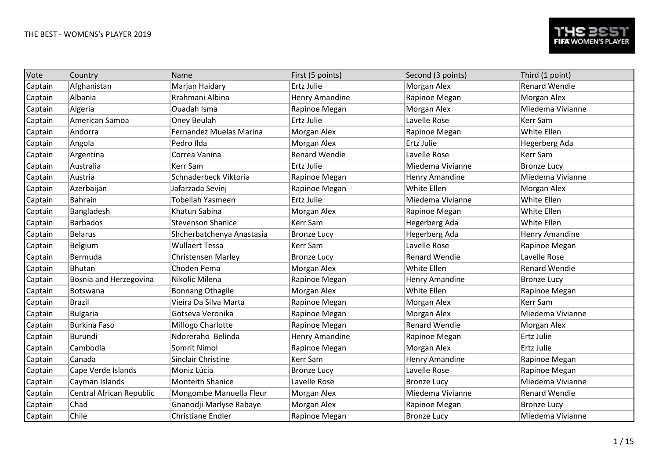| Vote    | Country                  | Name                      | First (5 points)      | Second (3 points)    | Third (1 point)      |
|---------|--------------------------|---------------------------|-----------------------|----------------------|----------------------|
| Captain | Afghanistan              | Marjan Haidary            | Ertz Julie            | Morgan Alex          | <b>Renard Wendie</b> |
| Captain | Albania                  | Rrahmani Albina           | <b>Henry Amandine</b> | Rapinoe Megan        | Morgan Alex          |
| Captain | Algeria                  | Ouadah Isma               | Rapinoe Megan         | Morgan Alex          | Miedema Vivianne     |
| Captain | American Samoa           | Oney Beulah               | Ertz Julie            | Lavelle Rose         | Kerr Sam             |
| Captain | Andorra                  | Fernandez Muelas Marina   | Morgan Alex           | Rapinoe Megan        | White Ellen          |
| Captain | Angola                   | Pedro Ilda                | Morgan Alex           | Ertz Julie           | Hegerberg Ada        |
| Captain | Argentina                | Correa Vanina             | <b>Renard Wendie</b>  | Lavelle Rose         | <b>Kerr Sam</b>      |
| Captain | Australia                | Kerr Sam                  | Ertz Julie            | Miedema Vivianne     | <b>Bronze Lucy</b>   |
| Captain | Austria                  | Schnaderbeck Viktoria     | Rapinoe Megan         | Henry Amandine       | Miedema Vivianne     |
| Captain | Azerbaijan               | Jafarzada Sevinj          | Rapinoe Megan         | White Ellen          | Morgan Alex          |
| Captain | <b>Bahrain</b>           | Tobellah Yasmeen          | Ertz Julie            | Miedema Vivianne     | White Ellen          |
| Captain | Bangladesh               | Khatun Sabina             | Morgan Alex           | Rapinoe Megan        | White Ellen          |
| Captain | <b>Barbados</b>          | <b>Stevenson Shanice</b>  | Kerr Sam              | Hegerberg Ada        | White Ellen          |
| Captain | <b>Belarus</b>           | Shcherbatchenya Anastasia | <b>Bronze Lucy</b>    | Hegerberg Ada        | Henry Amandine       |
| Captain | Belgium                  | <b>Wullaert Tessa</b>     | Kerr Sam              | Lavelle Rose         | Rapinoe Megan        |
| Captain | Bermuda                  | <b>Christensen Marley</b> | <b>Bronze Lucy</b>    | <b>Renard Wendie</b> | Lavelle Rose         |
| Captain | Bhutan                   | Choden Pema               | Morgan Alex           | White Ellen          | <b>Renard Wendie</b> |
| Captain | Bosnia and Herzegovina   | Nikolic Milena            | Rapinoe Megan         | Henry Amandine       | <b>Bronze Lucy</b>   |
| Captain | Botswana                 | <b>Bonnang Othagile</b>   | Morgan Alex           | White Ellen          | Rapinoe Megan        |
| Captain | <b>Brazil</b>            | Vieira Da Silva Marta     | Rapinoe Megan         | Morgan Alex          | <b>Kerr Sam</b>      |
| Captain | <b>Bulgaria</b>          | Gotseva Veronika          | Rapinoe Megan         | Morgan Alex          | Miedema Vivianne     |
| Captain | <b>Burkina Faso</b>      | Millogo Charlotte         | Rapinoe Megan         | <b>Renard Wendie</b> | Morgan Alex          |
| Captain | <b>Burundi</b>           | Ndoreraho Belinda         | <b>Henry Amandine</b> | Rapinoe Megan        | <b>Ertz Julie</b>    |
| Captain | Cambodia                 | Somrit Nimol              | Rapinoe Megan         | Morgan Alex          | Ertz Julie           |
| Captain | Canada                   | Sinclair Christine        | Kerr Sam              | Henry Amandine       | Rapinoe Megan        |
| Captain | Cape Verde Islands       | Moniz Lúcia               | <b>Bronze Lucy</b>    | Lavelle Rose         | Rapinoe Megan        |
| Captain | Cayman Islands           | <b>Monteith Shanice</b>   | Lavelle Rose          | <b>Bronze Lucy</b>   | Miedema Vivianne     |
| Captain | Central African Republic | Mongombe Manuella Fleur   | Morgan Alex           | Miedema Vivianne     | <b>Renard Wendie</b> |
| Captain | Chad                     | Gnanodji Marlyse Rabaye   | Morgan Alex           | Rapinoe Megan        | <b>Bronze Lucy</b>   |
| Captain | Chile                    | <b>Christiane Endler</b>  | Rapinoe Megan         | <b>Bronze Lucy</b>   | Miedema Vivianne     |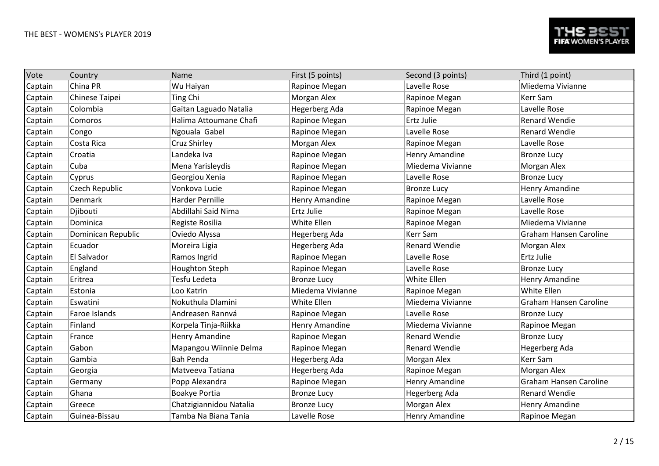| Vote    | Country            | Name                    | First (5 points)   | Second (3 points)     | Third (1 point)               |
|---------|--------------------|-------------------------|--------------------|-----------------------|-------------------------------|
| Captain | China PR           | Wu Haiyan               | Rapinoe Megan      | Lavelle Rose          | Miedema Vivianne              |
| Captain | Chinese Taipei     | <b>Ting Chi</b>         | Morgan Alex        | Rapinoe Megan         | Kerr Sam                      |
| Captain | Colombia           | Gaitan Laguado Natalia  | Hegerberg Ada      | Rapinoe Megan         | Lavelle Rose                  |
| Captain | Comoros            | Halima Attoumane Chafi  | Rapinoe Megan      | Ertz Julie            | <b>Renard Wendie</b>          |
| Captain | Congo              | Ngouala Gabel           | Rapinoe Megan      | Lavelle Rose          | <b>Renard Wendie</b>          |
| Captain | Costa Rica         | Cruz Shirley            | Morgan Alex        | Rapinoe Megan         | Lavelle Rose                  |
| Captain | Croatia            | Landeka Iva             | Rapinoe Megan      | Henry Amandine        | <b>Bronze Lucy</b>            |
| Captain | Cuba               | Mena Yarisleydis        | Rapinoe Megan      | Miedema Vivianne      | Morgan Alex                   |
| Captain | Cyprus             | Georgiou Xenia          | Rapinoe Megan      | Lavelle Rose          | <b>Bronze Lucy</b>            |
| Captain | Czech Republic     | Vonkova Lucie           | Rapinoe Megan      | <b>Bronze Lucy</b>    | Henry Amandine                |
| Captain | Denmark            | <b>Harder Pernille</b>  | Henry Amandine     | Rapinoe Megan         | Lavelle Rose                  |
| Captain | Djibouti           | Abdillahi Said Nima     | Ertz Julie         | Rapinoe Megan         | Lavelle Rose                  |
| Captain | Dominica           | Registe Rosilia         | White Ellen        | Rapinoe Megan         | Miedema Vivianne              |
| Captain | Dominican Republic | Oviedo Alyssa           | Hegerberg Ada      | Kerr Sam              | <b>Graham Hansen Caroline</b> |
| Captain | Ecuador            | Moreira Ligia           | Hegerberg Ada      | <b>Renard Wendie</b>  | Morgan Alex                   |
| Captain | El Salvador        | Ramos Ingrid            | Rapinoe Megan      | Lavelle Rose          | Ertz Julie                    |
| Captain | England            | Houghton Steph          | Rapinoe Megan      | Lavelle Rose          | <b>Bronze Lucy</b>            |
| Captain | Eritrea            | Tesfu Ledeta            | <b>Bronze Lucy</b> | White Ellen           | Henry Amandine                |
| Captain | Estonia            | Loo Katrin              | Miedema Vivianne   | Rapinoe Megan         | White Ellen                   |
| Captain | Eswatini           | Nokuthula Dlamini       | White Ellen        | Miedema Vivianne      | <b>Graham Hansen Caroline</b> |
| Captain | Faroe Islands      | Andreasen Rannvá        | Rapinoe Megan      | Lavelle Rose          | <b>Bronze Lucy</b>            |
| Captain | Finland            | Korpela Tinja-Riikka    | Henry Amandine     | Miedema Vivianne      | Rapinoe Megan                 |
| Captain | France             | Henry Amandine          | Rapinoe Megan      | <b>Renard Wendie</b>  | <b>Bronze Lucy</b>            |
| Captain | Gabon              | Mapangou Wiinnie Delma  | Rapinoe Megan      | <b>Renard Wendie</b>  | Hegerberg Ada                 |
| Captain | Gambia             | <b>Bah Penda</b>        | Hegerberg Ada      | Morgan Alex           | Kerr Sam                      |
| Captain | Georgia            | Matveeva Tatiana        | Hegerberg Ada      | Rapinoe Megan         | Morgan Alex                   |
| Captain | Germany            | Popp Alexandra          | Rapinoe Megan      | Henry Amandine        | <b>Graham Hansen Caroline</b> |
| Captain | Ghana              | Boakye Portia           | <b>Bronze Lucy</b> | Hegerberg Ada         | <b>Renard Wendie</b>          |
| Captain | Greece             | Chatzigiannidou Natalia | <b>Bronze Lucy</b> | Morgan Alex           | Henry Amandine                |
| Captain | Guinea-Bissau      | Tamba Na Biana Tania    | Lavelle Rose       | <b>Henry Amandine</b> | Rapinoe Megan                 |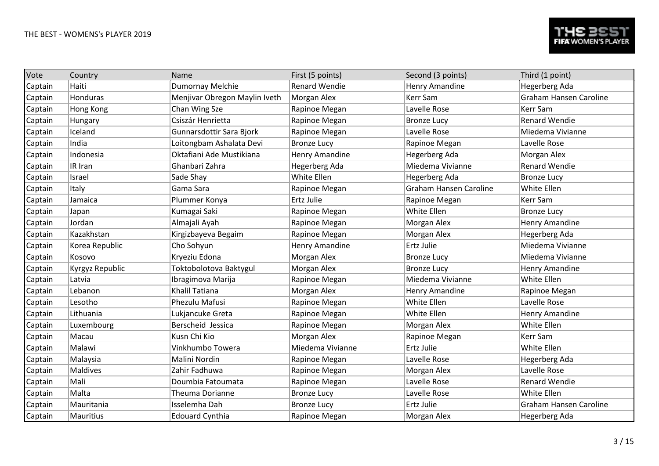| Vote    | Country          | Name                          | First (5 points)     | Second (3 points)             | Third (1 point)               |
|---------|------------------|-------------------------------|----------------------|-------------------------------|-------------------------------|
| Captain | Haiti            | Dumornay Melchie              | <b>Renard Wendie</b> | Henry Amandine                | Hegerberg Ada                 |
| Captain | Honduras         | Menjivar Obregon Maylin Iveth | Morgan Alex          | Kerr Sam                      | <b>Graham Hansen Caroline</b> |
| Captain | Hong Kong        | Chan Wing Sze                 | Rapinoe Megan        | Lavelle Rose                  | Kerr Sam                      |
| Captain | Hungary          | Csiszár Henrietta             | Rapinoe Megan        | <b>Bronze Lucy</b>            | <b>Renard Wendie</b>          |
| Captain | Iceland          | Gunnarsdottir Sara Bjork      | Rapinoe Megan        | Lavelle Rose                  | Miedema Vivianne              |
| Captain | India            | Loitongbam Ashalata Devi      | <b>Bronze Lucy</b>   | Rapinoe Megan                 | Lavelle Rose                  |
| Captain | Indonesia        | Oktafiani Ade Mustikiana      | Henry Amandine       | Hegerberg Ada                 | Morgan Alex                   |
| Captain | IR Iran          | Ghanbari Zahra                | Hegerberg Ada        | Miedema Vivianne              | <b>Renard Wendie</b>          |
| Captain | Israel           | Sade Shay                     | White Ellen          | Hegerberg Ada                 | <b>Bronze Lucy</b>            |
| Captain | Italy            | Gama Sara                     | Rapinoe Megan        | <b>Graham Hansen Caroline</b> | White Ellen                   |
| Captain | Jamaica          | Plummer Konya                 | Ertz Julie           | Rapinoe Megan                 | Kerr Sam                      |
| Captain | Japan            | Kumagai Saki                  | Rapinoe Megan        | White Ellen                   | <b>Bronze Lucy</b>            |
| Captain | Jordan           | Almajali Ayah                 | Rapinoe Megan        | Morgan Alex                   | Henry Amandine                |
| Captain | Kazakhstan       | Kirgizbayeva Begaim           | Rapinoe Megan        | Morgan Alex                   | Hegerberg Ada                 |
| Captain | Korea Republic   | Cho Sohyun                    | Henry Amandine       | Ertz Julie                    | Miedema Vivianne              |
| Captain | Kosovo           | Kryeziu Edona                 | Morgan Alex          | <b>Bronze Lucy</b>            | Miedema Vivianne              |
| Captain | Kyrgyz Republic  | Toktobolotova Baktygul        | Morgan Alex          | <b>Bronze Lucy</b>            | Henry Amandine                |
| Captain | Latvia           | Ibragimova Marija             | Rapinoe Megan        | Miedema Vivianne              | White Ellen                   |
| Captain | Lebanon          | Khalil Tatiana                | Morgan Alex          | Henry Amandine                | Rapinoe Megan                 |
| Captain | Lesotho          | Phezulu Mafusi                | Rapinoe Megan        | White Ellen                   | Lavelle Rose                  |
| Captain | Lithuania        | Lukjancuke Greta              | Rapinoe Megan        | <b>White Ellen</b>            | Henry Amandine                |
| Captain | Luxembourg       | Berscheid Jessica             | Rapinoe Megan        | Morgan Alex                   | White Ellen                   |
| Captain | Macau            | Kusn Chi Kio                  | Morgan Alex          | Rapinoe Megan                 | Kerr Sam                      |
| Captain | Malawi           | Vinkhumbo Towera              | Miedema Vivianne     | Ertz Julie                    | White Ellen                   |
| Captain | Malaysia         | Malini Nordin                 | Rapinoe Megan        | Lavelle Rose                  | Hegerberg Ada                 |
| Captain | Maldives         | Zahir Fadhuwa                 | Rapinoe Megan        | Morgan Alex                   | Lavelle Rose                  |
| Captain | Mali             | Doumbia Fatoumata             | Rapinoe Megan        | Lavelle Rose                  | <b>Renard Wendie</b>          |
| Captain | Malta            | Theuma Dorianne               | <b>Bronze Lucy</b>   | Lavelle Rose                  | White Ellen                   |
| Captain | Mauritania       | Isselemha Dah                 | <b>Bronze Lucy</b>   | Ertz Julie                    | <b>Graham Hansen Caroline</b> |
| Captain | <b>Mauritius</b> | <b>Edouard Cynthia</b>        | Rapinoe Megan        | Morgan Alex                   | Hegerberg Ada                 |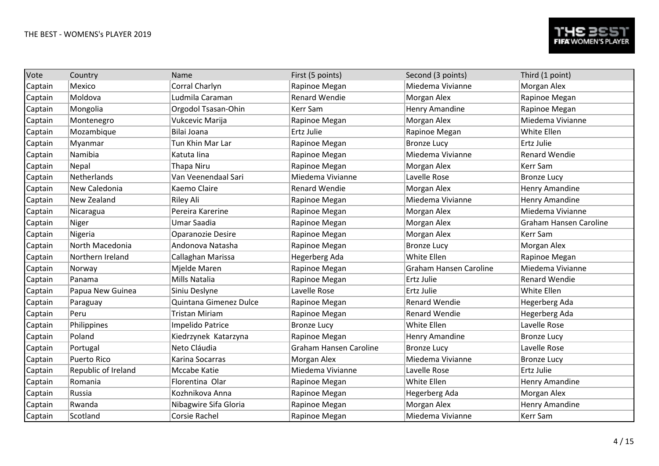| Vote    | Country             | Name                     | First (5 points)       | Second (3 points)             | Third (1 point)               |
|---------|---------------------|--------------------------|------------------------|-------------------------------|-------------------------------|
| Captain | Mexico              | Corral Charlyn           | Rapinoe Megan          | Miedema Vivianne              | Morgan Alex                   |
| Captain | Moldova             | Ludmila Caraman          | <b>Renard Wendie</b>   | Morgan Alex                   | Rapinoe Megan                 |
| Captain | Mongolia            | Orgodol Tsasan-Ohin      | Kerr Sam               | Henry Amandine                | Rapinoe Megan                 |
| Captain | Montenegro          | Vukcevic Marija          | Rapinoe Megan          | Morgan Alex                   | Miedema Vivianne              |
| Captain | Mozambique          | Bilai Joana              | Ertz Julie             | Rapinoe Megan                 | White Ellen                   |
| Captain | Myanmar             | Tun Khin Mar Lar         | Rapinoe Megan          | <b>Bronze Lucy</b>            | <b>Ertz Julie</b>             |
| Captain | Namibia             | Katuta lina              | Rapinoe Megan          | Miedema Vivianne              | <b>Renard Wendie</b>          |
| Captain | Nepal               | Thapa Niru               | Rapinoe Megan          | Morgan Alex                   | <b>Kerr Sam</b>               |
| Captain | Netherlands         | Van Veenendaal Sari      | Miedema Vivianne       | Lavelle Rose                  | <b>Bronze Lucy</b>            |
| Captain | New Caledonia       | Kaemo Claire             | <b>Renard Wendie</b>   | Morgan Alex                   | Henry Amandine                |
| Captain | New Zealand         | Riley Ali                | Rapinoe Megan          | Miedema Vivianne              | Henry Amandine                |
| Captain | Nicaragua           | Pereira Karerine         | Rapinoe Megan          | Morgan Alex                   | Miedema Vivianne              |
| Captain | Niger               | Umar Saadia              | Rapinoe Megan          | Morgan Alex                   | <b>Graham Hansen Caroline</b> |
| Captain | Nigeria             | <b>Oparanozie Desire</b> | Rapinoe Megan          | Morgan Alex                   | Kerr Sam                      |
| Captain | North Macedonia     | Andonova Natasha         | Rapinoe Megan          | <b>Bronze Lucy</b>            | Morgan Alex                   |
| Captain | Northern Ireland    | Callaghan Marissa        | Hegerberg Ada          | White Ellen                   | Rapinoe Megan                 |
| Captain | Norway              | Mjelde Maren             | Rapinoe Megan          | <b>Graham Hansen Caroline</b> | Miedema Vivianne              |
| Captain | Panama              | Mills Natalia            | Rapinoe Megan          | Ertz Julie                    | <b>Renard Wendie</b>          |
| Captain | Papua New Guinea    | Siniu Deslyne            | Lavelle Rose           | Ertz Julie                    | White Ellen                   |
| Captain | Paraguay            | Quintana Gimenez Dulce   | Rapinoe Megan          | <b>Renard Wendie</b>          | Hegerberg Ada                 |
| Captain | Peru                | <b>Tristan Miriam</b>    | Rapinoe Megan          | <b>Renard Wendie</b>          | Hegerberg Ada                 |
| Captain | Philippines         | Impelido Patrice         | <b>Bronze Lucy</b>     | White Ellen                   | Lavelle Rose                  |
| Captain | Poland              | Kiedrzynek Katarzyna     | Rapinoe Megan          | Henry Amandine                | <b>Bronze Lucy</b>            |
| Captain | Portugal            | Neto Cláudia             | Graham Hansen Caroline | <b>Bronze Lucy</b>            | Lavelle Rose                  |
| Captain | <b>Puerto Rico</b>  | Karina Socarras          | Morgan Alex            | Miedema Vivianne              | <b>Bronze Lucy</b>            |
| Captain | Republic of Ireland | Mccabe Katie             | Miedema Vivianne       | Lavelle Rose                  | <b>Ertz Julie</b>             |
| Captain | Romania             | Florentina Olar          | Rapinoe Megan          | White Ellen                   | Henry Amandine                |
| Captain | Russia              | Kozhnikova Anna          | Rapinoe Megan          | Hegerberg Ada                 | Morgan Alex                   |
| Captain | Rwanda              | Nibagwire Sifa Gloria    | Rapinoe Megan          | Morgan Alex                   | <b>Henry Amandine</b>         |
| Captain | Scotland            | Corsie Rachel            | Rapinoe Megan          | Miedema Vivianne              | <b>Kerr Sam</b>               |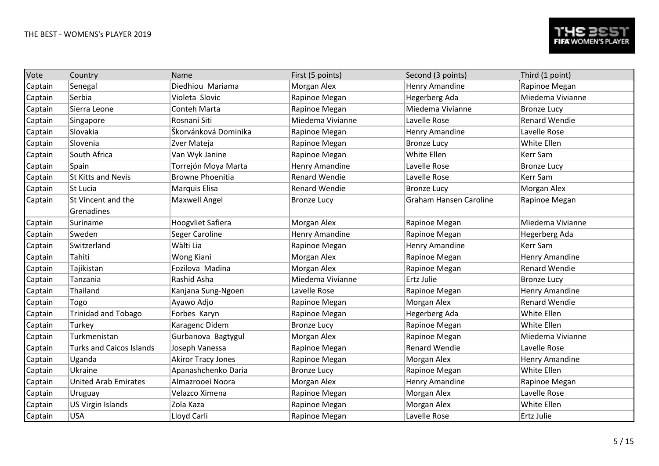| Vote    | Country                         | Name                      | First (5 points)      | Second (3 points)             | Third (1 point)      |
|---------|---------------------------------|---------------------------|-----------------------|-------------------------------|----------------------|
| Captain | Senegal                         | Diedhiou Mariama          | Morgan Alex           | Henry Amandine                | Rapinoe Megan        |
| Captain | Serbia                          | Violeta Slovic            | Rapinoe Megan         | Hegerberg Ada                 | Miedema Vivianne     |
| Captain | Sierra Leone                    | Conteh Marta              | Rapinoe Megan         | Miedema Vivianne              | <b>Bronze Lucy</b>   |
| Captain | Singapore                       | Rosnani Siti              | Miedema Vivianne      | Lavelle Rose                  | <b>Renard Wendie</b> |
| Captain | Slovakia                        | Škorvánková Dominika      | Rapinoe Megan         | Henry Amandine                | Lavelle Rose         |
| Captain | Slovenia                        | Zver Mateja               | Rapinoe Megan         | <b>Bronze Lucy</b>            | White Ellen          |
| Captain | South Africa                    | Van Wyk Janine            | Rapinoe Megan         | White Ellen                   | <b>Kerr Sam</b>      |
| Captain | Spain                           | Torrejón Moya Marta       | Henry Amandine        | Lavelle Rose                  | <b>Bronze Lucy</b>   |
| Captain | <b>St Kitts and Nevis</b>       | <b>Browne Phoenitia</b>   | <b>Renard Wendie</b>  | Lavelle Rose                  | Kerr Sam             |
| Captain | St Lucia                        | Marquis Elisa             | <b>Renard Wendie</b>  | <b>Bronze Lucy</b>            | Morgan Alex          |
| Captain | St Vincent and the              | Maxwell Angel             | <b>Bronze Lucy</b>    | <b>Graham Hansen Caroline</b> | Rapinoe Megan        |
|         | Grenadines                      |                           |                       |                               | Miedema Vivianne     |
| Captain | Suriname                        | <b>Hoogyliet Safiera</b>  | Morgan Alex           | Rapinoe Megan                 |                      |
| Captain | Sweden                          | Seger Caroline            | <b>Henry Amandine</b> | Rapinoe Megan                 | Hegerberg Ada        |
| Captain | Switzerland                     | Wälti Lia                 | Rapinoe Megan         | Henry Amandine                | <b>Kerr Sam</b>      |
| Captain | Tahiti                          | Wong Kiani                | Morgan Alex           | Rapinoe Megan                 | Henry Amandine       |
| Captain | Tajikistan                      | Fozilova Madina           | Morgan Alex           | Rapinoe Megan                 | <b>Renard Wendie</b> |
| Captain | Tanzania                        | Rashid Asha               | Miedema Vivianne      | Ertz Julie                    | <b>Bronze Lucy</b>   |
| Captain | Thailand                        | Kanjana Sung-Ngoen        | Lavelle Rose          | Rapinoe Megan                 | Henry Amandine       |
| Captain | Togo                            | Ayawo Adjo                | Rapinoe Megan         | Morgan Alex                   | <b>Renard Wendie</b> |
| Captain | <b>Trinidad and Tobago</b>      | Forbes Karyn              | Rapinoe Megan         | Hegerberg Ada                 | White Ellen          |
| Captain | Turkey                          | Karagenc Didem            | <b>Bronze Lucy</b>    | Rapinoe Megan                 | White Ellen          |
| Captain | Turkmenistan                    | Gurbanova Bagtygul        | Morgan Alex           | Rapinoe Megan                 | Miedema Vivianne     |
| Captain | <b>Turks and Caicos Islands</b> | Joseph Vanessa            | Rapinoe Megan         | <b>Renard Wendie</b>          | Lavelle Rose         |
| Captain | Uganda                          | <b>Akiror Tracy Jones</b> | Rapinoe Megan         | Morgan Alex                   | Henry Amandine       |
| Captain | Ukraine                         | Apanashchenko Daria       | <b>Bronze Lucy</b>    | Rapinoe Megan                 | White Ellen          |
| Captain | <b>United Arab Emirates</b>     | Almazrooei Noora          | Morgan Alex           | Henry Amandine                | Rapinoe Megan        |
| Captain | Uruguay                         | Velazco Ximena            | Rapinoe Megan         | Morgan Alex                   | Lavelle Rose         |
| Captain | US Virgin Islands               | Zola Kaza                 | Rapinoe Megan         | Morgan Alex                   | White Ellen          |
| Captain | <b>USA</b>                      | Lloyd Carli               | Rapinoe Megan         | Lavelle Rose                  | <b>Ertz Julie</b>    |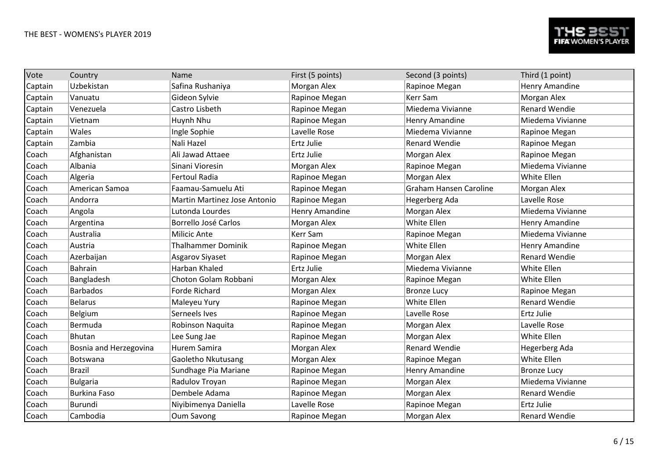| Vote    | Country                | Name                         | First (5 points) | Second (3 points)             | Third (1 point)      |
|---------|------------------------|------------------------------|------------------|-------------------------------|----------------------|
| Captain | Uzbekistan             | Safina Rushaniya             | Morgan Alex      | Rapinoe Megan                 | Henry Amandine       |
| Captain | Vanuatu                | Gideon Sylvie                | Rapinoe Megan    | Kerr Sam                      | Morgan Alex          |
| Captain | Venezuela              | Castro Lisbeth               | Rapinoe Megan    | Miedema Vivianne              | <b>Renard Wendie</b> |
| Captain | Vietnam                | Huynh Nhu                    | Rapinoe Megan    | Henry Amandine                | Miedema Vivianne     |
| Captain | Wales                  | Ingle Sophie                 | Lavelle Rose     | Miedema Vivianne              | Rapinoe Megan        |
| Captain | Zambia                 | Nali Hazel                   | Ertz Julie       | <b>Renard Wendie</b>          | Rapinoe Megan        |
| Coach   | Afghanistan            | Ali Jawad Attaee             | Ertz Julie       | Morgan Alex                   | Rapinoe Megan        |
| Coach   | Albania                | Sinani Vioresin              | Morgan Alex      | Rapinoe Megan                 | Miedema Vivianne     |
| Coach   | Algeria                | <b>Fertoul Radia</b>         | Rapinoe Megan    | Morgan Alex                   | White Ellen          |
| Coach   | American Samoa         | Faamau-Samuelu Ati           | Rapinoe Megan    | <b>Graham Hansen Caroline</b> | Morgan Alex          |
| Coach   | Andorra                | Martin Martinez Jose Antonio | Rapinoe Megan    | Hegerberg Ada                 | Lavelle Rose         |
| Coach   | Angola                 | Lutonda Lourdes              | Henry Amandine   | Morgan Alex                   | Miedema Vivianne     |
| Coach   | Argentina              | Borrello José Carlos         | Morgan Alex      | White Ellen                   | Henry Amandine       |
| Coach   | Australia              | <b>Milicic Ante</b>          | Kerr Sam         | Rapinoe Megan                 | Miedema Vivianne     |
| Coach   | Austria                | <b>Thalhammer Dominik</b>    | Rapinoe Megan    | White Ellen                   | Henry Amandine       |
| Coach   | Azerbaijan             | <b>Asgarov Siyaset</b>       | Rapinoe Megan    | Morgan Alex                   | <b>Renard Wendie</b> |
| Coach   | <b>Bahrain</b>         | Harban Khaled                | Ertz Julie       | Miedema Vivianne              | White Ellen          |
| Coach   | Bangladesh             | Choton Golam Robbani         | Morgan Alex      | Rapinoe Megan                 | White Ellen          |
| Coach   | <b>Barbados</b>        | <b>Forde Richard</b>         | Morgan Alex      | <b>Bronze Lucy</b>            | Rapinoe Megan        |
| Coach   | <b>Belarus</b>         | Maleyeu Yury                 | Rapinoe Megan    | White Ellen                   | <b>Renard Wendie</b> |
| Coach   | Belgium                | Serneels Ives                | Rapinoe Megan    | Lavelle Rose                  | Ertz Julie           |
| Coach   | Bermuda                | Robinson Naquita             | Rapinoe Megan    | Morgan Alex                   | Lavelle Rose         |
| Coach   | Bhutan                 | Lee Sung Jae                 | Rapinoe Megan    | Morgan Alex                   | White Ellen          |
| Coach   | Bosnia and Herzegovina | Hurem Samira                 | Morgan Alex      | <b>Renard Wendie</b>          | Hegerberg Ada        |
| Coach   | Botswana               | Gaoletho Nkutusang           | Morgan Alex      | Rapinoe Megan                 | White Ellen          |
| Coach   | <b>Brazil</b>          | Sundhage Pia Mariane         | Rapinoe Megan    | Henry Amandine                | <b>Bronze Lucy</b>   |
| Coach   | <b>Bulgaria</b>        | Radulov Troyan               | Rapinoe Megan    | Morgan Alex                   | Miedema Vivianne     |
| Coach   | <b>Burkina Faso</b>    | Dembele Adama                | Rapinoe Megan    | Morgan Alex                   | <b>Renard Wendie</b> |
| Coach   | <b>Burundi</b>         | Niyibimenya Daniella         | Lavelle Rose     | Rapinoe Megan                 | <b>Ertz Julie</b>    |
| Coach   | Cambodia               | Oum Savong                   | Rapinoe Megan    | Morgan Alex                   | <b>Renard Wendie</b> |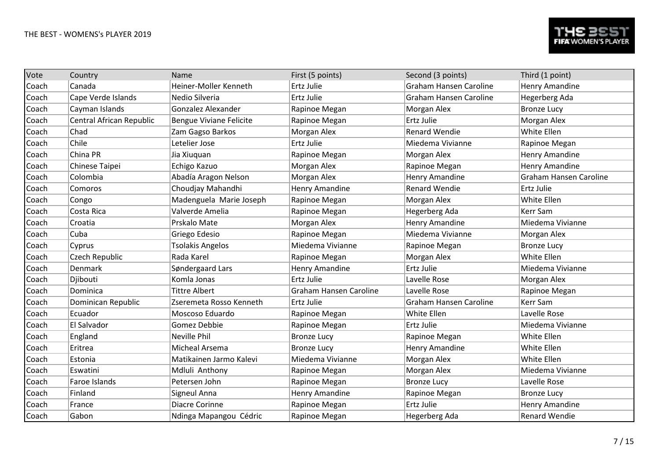| Vote  | Country                  | Name                           | First (5 points)       | Second (3 points)             | Third (1 point)               |
|-------|--------------------------|--------------------------------|------------------------|-------------------------------|-------------------------------|
| Coach | Canada                   | Heiner-Moller Kenneth          | Ertz Julie             | <b>Graham Hansen Caroline</b> | Henry Amandine                |
| Coach | Cape Verde Islands       | Nedio Silveria                 | Ertz Julie             | <b>Graham Hansen Caroline</b> | Hegerberg Ada                 |
| Coach | Cayman Islands           | Gonzalez Alexander             | Rapinoe Megan          | Morgan Alex                   | <b>Bronze Lucy</b>            |
| Coach | Central African Republic | <b>Bengue Viviane Felicite</b> | Rapinoe Megan          | Ertz Julie                    | Morgan Alex                   |
| Coach | Chad                     | Zam Gagso Barkos               | Morgan Alex            | <b>Renard Wendie</b>          | White Ellen                   |
| Coach | Chile                    | Letelier Jose                  | Ertz Julie             | Miedema Vivianne              | Rapinoe Megan                 |
| Coach | China PR                 | Jia Xiuquan                    | Rapinoe Megan          | Morgan Alex                   | Henry Amandine                |
| Coach | Chinese Taipei           | Echigo Kazuo                   | Morgan Alex            | Rapinoe Megan                 | <b>Henry Amandine</b>         |
| Coach | Colombia                 | Abadía Aragon Nelson           | Morgan Alex            | Henry Amandine                | <b>Graham Hansen Caroline</b> |
| Coach | Comoros                  | Choudjay Mahandhi              | Henry Amandine         | <b>Renard Wendie</b>          | <b>Ertz Julie</b>             |
| Coach | Congo                    | Madenguela Marie Joseph        | Rapinoe Megan          | Morgan Alex                   | White Ellen                   |
| Coach | Costa Rica               | Valverde Amelia                | Rapinoe Megan          | Hegerberg Ada                 | <b>Kerr Sam</b>               |
| Coach | Croatia                  | Prskalo Mate                   | Morgan Alex            | Henry Amandine                | Miedema Vivianne              |
| Coach | Cuba                     | Griego Edesio                  | Rapinoe Megan          | Miedema Vivianne              | Morgan Alex                   |
| Coach | Cyprus                   | <b>Tsolakis Angelos</b>        | Miedema Vivianne       | Rapinoe Megan                 | <b>Bronze Lucy</b>            |
| Coach | Czech Republic           | Rada Karel                     | Rapinoe Megan          | Morgan Alex                   | White Ellen                   |
| Coach | Denmark                  | Søndergaard Lars               | <b>Henry Amandine</b>  | Ertz Julie                    | Miedema Vivianne              |
| Coach | Djibouti                 | Komla Jonas                    | Ertz Julie             | Lavelle Rose                  | Morgan Alex                   |
| Coach | Dominica                 | <b>Tittre Albert</b>           | Graham Hansen Caroline | Lavelle Rose                  | Rapinoe Megan                 |
| Coach | Dominican Republic       | Zseremeta Rosso Kenneth        | Ertz Julie             | <b>Graham Hansen Caroline</b> | Kerr Sam                      |
| Coach | Ecuador                  | Moscoso Eduardo                | Rapinoe Megan          | White Ellen                   | Lavelle Rose                  |
| Coach | El Salvador              | Gomez Debbie                   | Rapinoe Megan          | Ertz Julie                    | Miedema Vivianne              |
| Coach | England                  | <b>Neville Phil</b>            | <b>Bronze Lucy</b>     | Rapinoe Megan                 | White Ellen                   |
| Coach | Eritrea                  | <b>Micheal Arsema</b>          | <b>Bronze Lucy</b>     | Henry Amandine                | White Ellen                   |
| Coach | Estonia                  | Matikainen Jarmo Kalevi        | Miedema Vivianne       | Morgan Alex                   | White Ellen                   |
| Coach | Eswatini                 | Mdluli Anthony                 | Rapinoe Megan          | Morgan Alex                   | Miedema Vivianne              |
| Coach | Faroe Islands            | Petersen John                  | Rapinoe Megan          | <b>Bronze Lucy</b>            | Lavelle Rose                  |
| Coach | Finland                  | Signeul Anna                   | Henry Amandine         | Rapinoe Megan                 | <b>Bronze Lucy</b>            |
| Coach | France                   | Diacre Corinne                 | Rapinoe Megan          | <b>Ertz Julie</b>             | Henry Amandine                |
| Coach | Gabon                    | Ndinga Mapangou Cédric         | Rapinoe Megan          | Hegerberg Ada                 | <b>Renard Wendie</b>          |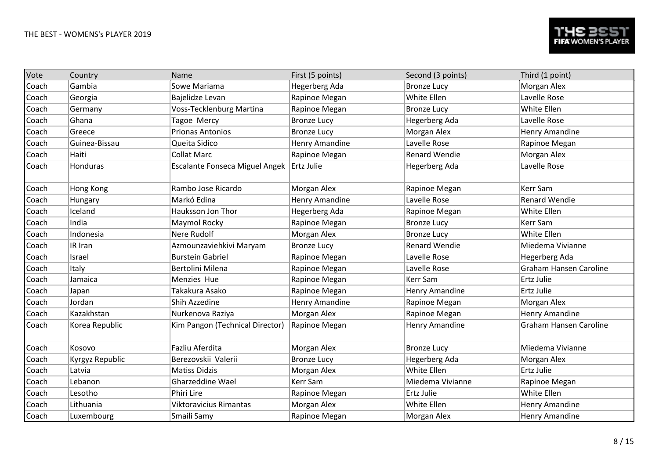| Vote  | Country         | Name                                        | First (5 points)      | Second (3 points)    | Third (1 point)               |
|-------|-----------------|---------------------------------------------|-----------------------|----------------------|-------------------------------|
| Coach | Gambia          | Sowe Mariama                                | Hegerberg Ada         | <b>Bronze Lucy</b>   | Morgan Alex                   |
| Coach | Georgia         | Bajelidze Levan                             | Rapinoe Megan         | White Ellen          | Lavelle Rose                  |
| Coach | Germany         | Voss-Tecklenburg Martina                    | Rapinoe Megan         | <b>Bronze Lucy</b>   | White Ellen                   |
| Coach | Ghana           | Tagoe Mercy                                 | <b>Bronze Lucy</b>    | Hegerberg Ada        | Lavelle Rose                  |
| Coach | Greece          | <b>Prionas Antonios</b>                     | <b>Bronze Lucy</b>    | Morgan Alex          | Henry Amandine                |
| Coach | Guinea-Bissau   | Queita Sidico                               | Henry Amandine        | Lavelle Rose         | Rapinoe Megan                 |
| Coach | Haiti           | <b>Collat Marc</b>                          | Rapinoe Megan         | <b>Renard Wendie</b> | Morgan Alex                   |
| Coach | Honduras        | Escalante Fonseca Miguel Angek   Ertz Julie |                       | Hegerberg Ada        | Lavelle Rose                  |
| Coach | Hong Kong       | Rambo Jose Ricardo                          | Morgan Alex           | Rapinoe Megan        | <b>Kerr Sam</b>               |
| Coach | Hungary         | Markó Edina                                 | Henry Amandine        | Lavelle Rose         | <b>Renard Wendie</b>          |
| Coach | Iceland         | Hauksson Jon Thor                           | Hegerberg Ada         | Rapinoe Megan        | White Ellen                   |
| Coach | India           | Maymol Rocky                                | Rapinoe Megan         | <b>Bronze Lucy</b>   | <b>Kerr Sam</b>               |
| Coach | Indonesia       | Nere Rudolf                                 | Morgan Alex           | <b>Bronze Lucy</b>   | <b>White Ellen</b>            |
| Coach | IR Iran         | Azmounzaviehkivi Maryam                     | <b>Bronze Lucy</b>    | <b>Renard Wendie</b> | Miedema Vivianne              |
| Coach | Israel          | <b>Burstein Gabriel</b>                     | Rapinoe Megan         | Lavelle Rose         | <b>Hegerberg Ada</b>          |
| Coach | Italy           | Bertolini Milena                            | Rapinoe Megan         | Lavelle Rose         | <b>Graham Hansen Caroline</b> |
| Coach | Jamaica         | Menzies Hue                                 | Rapinoe Megan         | Kerr Sam             | <b>Ertz Julie</b>             |
| Coach | Japan           | Takakura Asako                              | Rapinoe Megan         | Henry Amandine       | <b>Ertz Julie</b>             |
| Coach | Jordan          | Shih Azzedine                               | <b>Henry Amandine</b> | Rapinoe Megan        | Morgan Alex                   |
| Coach | Kazakhstan      | Nurkenova Raziya                            | Morgan Alex           | Rapinoe Megan        | <b>Henry Amandine</b>         |
| Coach | Korea Republic  | Kim Pangon (Technical Director)             | Rapinoe Megan         | Henry Amandine       | <b>Graham Hansen Caroline</b> |
| Coach | Kosovo          | Fazliu Aferdita                             | Morgan Alex           | <b>Bronze Lucy</b>   | Miedema Vivianne              |
| Coach | Kyrgyz Republic | Berezovskii Valerii                         | <b>Bronze Lucy</b>    | Hegerberg Ada        | Morgan Alex                   |
| Coach | Latvia          | <b>Matiss Didzis</b>                        | Morgan Alex           | White Ellen          | <b>Ertz Julie</b>             |
| Coach | Lebanon         | <b>Gharzeddine Wael</b>                     | Kerr Sam              | Miedema Vivianne     | Rapinoe Megan                 |
| Coach | Lesotho         | Phiri Lire                                  | Rapinoe Megan         | Ertz Julie           | White Ellen                   |
| Coach | Lithuania       | Viktoravicius Rimantas                      | Morgan Alex           | White Ellen          | Henry Amandine                |
| Coach | Luxembourg      | Smaili Samy                                 | Rapinoe Megan         | Morgan Alex          | <b>Henry Amandine</b>         |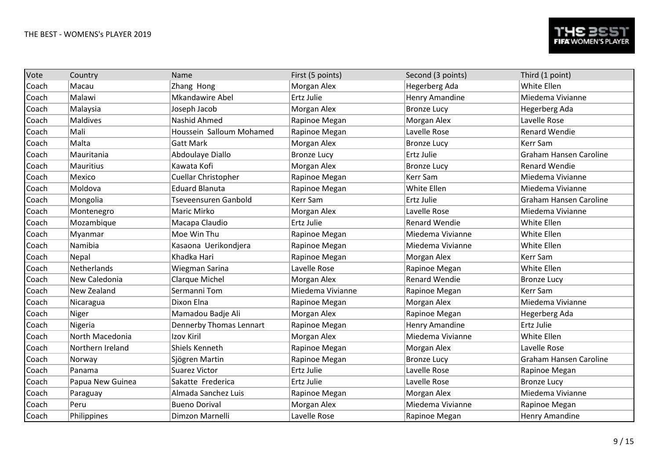| Vote  | Country            | Name                     | First (5 points)   | Second (3 points)    | Third (1 point)               |
|-------|--------------------|--------------------------|--------------------|----------------------|-------------------------------|
| Coach | Macau              | Zhang Hong               | Morgan Alex        | Hegerberg Ada        | White Ellen                   |
| Coach | Malawi             | <b>Mkandawire Abel</b>   | Ertz Julie         | Henry Amandine       | Miedema Vivianne              |
| Coach | Malaysia           | Joseph Jacob             | Morgan Alex        | <b>Bronze Lucy</b>   | Hegerberg Ada                 |
| Coach | Maldives           | Nashid Ahmed             | Rapinoe Megan      | Morgan Alex          | Lavelle Rose                  |
| Coach | Mali               | Houssein Salloum Mohamed | Rapinoe Megan      | Lavelle Rose         | <b>Renard Wendie</b>          |
| Coach | Malta              | <b>Gatt Mark</b>         | Morgan Alex        | <b>Bronze Lucy</b>   | Kerr Sam                      |
| Coach | Mauritania         | Abdoulaye Diallo         | <b>Bronze Lucy</b> | Ertz Julie           | <b>Graham Hansen Caroline</b> |
| Coach | <b>Mauritius</b>   | Kawata Kofi              | Morgan Alex        | <b>Bronze Lucy</b>   | <b>Renard Wendie</b>          |
| Coach | Mexico             | Cuellar Christopher      | Rapinoe Megan      | Kerr Sam             | Miedema Vivianne              |
| Coach | Moldova            | <b>Eduard Blanuta</b>    | Rapinoe Megan      | White Ellen          | Miedema Vivianne              |
| Coach | Mongolia           | Tseveensuren Ganbold     | Kerr Sam           | Ertz Julie           | <b>Graham Hansen Caroline</b> |
| Coach | Montenegro         | Maric Mirko              | Morgan Alex        | Lavelle Rose         | Miedema Vivianne              |
| Coach | Mozambique         | Macapa Claudio           | Ertz Julie         | <b>Renard Wendie</b> | White Ellen                   |
| Coach | Myanmar            | Moe Win Thu              | Rapinoe Megan      | Miedema Vivianne     | White Ellen                   |
| Coach | Namibia            | Kasaona Uerikondjera     | Rapinoe Megan      | Miedema Vivianne     | White Ellen                   |
| Coach | Nepal              | Khadka Hari              | Rapinoe Megan      | Morgan Alex          | <b>Kerr Sam</b>               |
| Coach | Netherlands        | Wiegman Sarina           | Lavelle Rose       | Rapinoe Megan        | White Ellen                   |
| Coach | New Caledonia      | <b>Clarque Michel</b>    | Morgan Alex        | <b>Renard Wendie</b> | <b>Bronze Lucy</b>            |
| Coach | <b>New Zealand</b> | Sermanni Tom             | Miedema Vivianne   | Rapinoe Megan        | Kerr Sam                      |
| Coach | Nicaragua          | Dixon Elna               | Rapinoe Megan      | Morgan Alex          | Miedema Vivianne              |
| Coach | Niger              | Mamadou Badje Ali        | Morgan Alex        | Rapinoe Megan        | Hegerberg Ada                 |
| Coach | Nigeria            | Dennerby Thomas Lennart  | Rapinoe Megan      | Henry Amandine       | Ertz Julie                    |
| Coach | North Macedonia    | Izov Kiril               | Morgan Alex        | Miedema Vivianne     | White Ellen                   |
| Coach | Northern Ireland   | Shiels Kenneth           | Rapinoe Megan      | Morgan Alex          | Lavelle Rose                  |
| Coach | Norway             | Sjögren Martin           | Rapinoe Megan      | <b>Bronze Lucy</b>   | <b>Graham Hansen Caroline</b> |
| Coach | Panama             | <b>Suarez Victor</b>     | Ertz Julie         | Lavelle Rose         | Rapinoe Megan                 |
| Coach | Papua New Guinea   | Sakatte Frederica        | Ertz Julie         | Lavelle Rose         | <b>Bronze Lucy</b>            |
| Coach | Paraguay           | Almada Sanchez Luis      | Rapinoe Megan      | Morgan Alex          | Miedema Vivianne              |
| Coach | Peru               | <b>Bueno Dorival</b>     | Morgan Alex        | Miedema Vivianne     | Rapinoe Megan                 |
| Coach | Philippines        | Dimzon Marnelli          | Lavelle Rose       | Rapinoe Megan        | <b>Henry Amandine</b>         |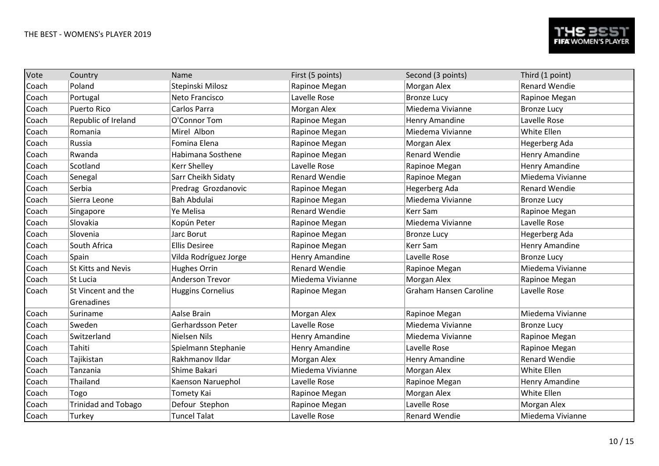| Vote  | Country                          | Name                     | First (5 points)      | Second (3 points)             | Third (1 point)      |
|-------|----------------------------------|--------------------------|-----------------------|-------------------------------|----------------------|
| Coach | Poland                           | Stepinski Milosz         | Rapinoe Megan         | Morgan Alex                   | <b>Renard Wendie</b> |
| Coach | Portugal                         | Neto Francisco           | Lavelle Rose          | <b>Bronze Lucy</b>            | Rapinoe Megan        |
| Coach | <b>Puerto Rico</b>               | Carlos Parra             | Morgan Alex           | Miedema Vivianne              | <b>Bronze Lucy</b>   |
| Coach | Republic of Ireland              | O'Connor Tom             | Rapinoe Megan         | Henry Amandine                | Lavelle Rose         |
| Coach | Romania                          | Mirel Albon              | Rapinoe Megan         | Miedema Vivianne              | White Ellen          |
| Coach | Russia                           | Fomina Elena             | Rapinoe Megan         | Morgan Alex                   | Hegerberg Ada        |
| Coach | Rwanda                           | Habimana Sosthene        | Rapinoe Megan         | <b>Renard Wendie</b>          | Henry Amandine       |
| Coach | Scotland                         | <b>Kerr Shelley</b>      | Lavelle Rose          | Rapinoe Megan                 | Henry Amandine       |
| Coach | Senegal                          | Sarr Cheikh Sidaty       | <b>Renard Wendie</b>  | Rapinoe Megan                 | Miedema Vivianne     |
| Coach | Serbia                           | Predrag Grozdanovic      | Rapinoe Megan         | Hegerberg Ada                 | <b>Renard Wendie</b> |
| Coach | Sierra Leone                     | <b>Bah Abdulai</b>       | Rapinoe Megan         | Miedema Vivianne              | <b>Bronze Lucy</b>   |
| Coach | Singapore                        | Ye Melisa                | <b>Renard Wendie</b>  | Kerr Sam                      | Rapinoe Megan        |
| Coach | Slovakia                         | Kopún Peter              | Rapinoe Megan         | Miedema Vivianne              | Lavelle Rose         |
| Coach | Slovenia                         | Jarc Borut               | Rapinoe Megan         | <b>Bronze Lucy</b>            | Hegerberg Ada        |
| Coach | South Africa                     | <b>Ellis Desiree</b>     | Rapinoe Megan         | <b>Kerr Sam</b>               | Henry Amandine       |
| Coach | Spain                            | Vilda Rodríguez Jorge    | <b>Henry Amandine</b> | Lavelle Rose                  | <b>Bronze Lucy</b>   |
| Coach | <b>St Kitts and Nevis</b>        | <b>Hughes Orrin</b>      | <b>Renard Wendie</b>  | Rapinoe Megan                 | Miedema Vivianne     |
| Coach | St Lucia                         | <b>Anderson Trevor</b>   | Miedema Vivianne      | Morgan Alex                   | Rapinoe Megan        |
| Coach | St Vincent and the<br>Grenadines | <b>Huggins Cornelius</b> | Rapinoe Megan         | <b>Graham Hansen Caroline</b> | Lavelle Rose         |
| Coach | Suriname                         | Aalse Brain              | Morgan Alex           | Rapinoe Megan                 | Miedema Vivianne     |
| Coach | Sweden                           | Gerhardsson Peter        | Lavelle Rose          | Miedema Vivianne              | <b>Bronze Lucy</b>   |
| Coach | Switzerland                      | <b>Nielsen Nils</b>      | <b>Henry Amandine</b> | Miedema Vivianne              | Rapinoe Megan        |
| Coach | Tahiti                           | Spielmann Stephanie      | Henry Amandine        | Lavelle Rose                  | Rapinoe Megan        |
| Coach | Tajikistan                       | Rakhmanov Ildar          | Morgan Alex           | <b>Henry Amandine</b>         | <b>Renard Wendie</b> |
| Coach | Tanzania                         | Shime Bakari             | Miedema Vivianne      | Morgan Alex                   | White Ellen          |
| Coach | Thailand                         | Kaenson Naruephol        | Lavelle Rose          | Rapinoe Megan                 | Henry Amandine       |
| Coach | Togo                             | Tomety Kai               | Rapinoe Megan         | Morgan Alex                   | White Ellen          |
| Coach | <b>Trinidad and Tobago</b>       | Defour Stephon           | Rapinoe Megan         | Lavelle Rose                  | Morgan Alex          |
| Coach | Turkey                           | <b>Tuncel Talat</b>      | Lavelle Rose          | <b>Renard Wendie</b>          | Miedema Vivianne     |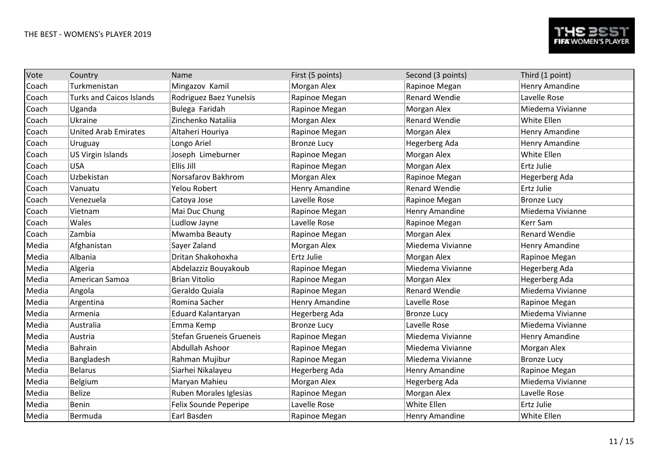| Vote  | Country                         | Name                     | First (5 points)   | Second (3 points)    | Third (1 point)      |
|-------|---------------------------------|--------------------------|--------------------|----------------------|----------------------|
| Coach | Turkmenistan                    | Mingazov Kamil           | Morgan Alex        | Rapinoe Megan        | Henry Amandine       |
| Coach | <b>Turks and Caicos Islands</b> | Rodriguez Baez Yunelsis  | Rapinoe Megan      | <b>Renard Wendie</b> | Lavelle Rose         |
| Coach | Uganda                          | Bulega Faridah           | Rapinoe Megan      | Morgan Alex          | Miedema Vivianne     |
| Coach | Ukraine                         | Zinchenko Nataliia       | Morgan Alex        | <b>Renard Wendie</b> | White Ellen          |
| Coach | <b>United Arab Emirates</b>     | Altaheri Houriya         | Rapinoe Megan      | Morgan Alex          | Henry Amandine       |
| Coach | Uruguay                         | Longo Ariel              | <b>Bronze Lucy</b> | Hegerberg Ada        | Henry Amandine       |
| Coach | US Virgin Islands               | Joseph Limeburner        | Rapinoe Megan      | Morgan Alex          | White Ellen          |
| Coach | <b>USA</b>                      | Ellis Jill               | Rapinoe Megan      | Morgan Alex          | Ertz Julie           |
| Coach | Uzbekistan                      | Norsafarov Bakhrom       | Morgan Alex        | Rapinoe Megan        | Hegerberg Ada        |
| Coach | Vanuatu                         | Yelou Robert             | Henry Amandine     | <b>Renard Wendie</b> | Ertz Julie           |
| Coach | Venezuela                       | Catoya Jose              | Lavelle Rose       | Rapinoe Megan        | <b>Bronze Lucy</b>   |
| Coach | Vietnam                         | Mai Duc Chung            | Rapinoe Megan      | Henry Amandine       | Miedema Vivianne     |
| Coach | Wales                           | Ludlow Jayne             | Lavelle Rose       | Rapinoe Megan        | Kerr Sam             |
| Coach | Zambia                          | Mwamba Beauty            | Rapinoe Megan      | Morgan Alex          | <b>Renard Wendie</b> |
| Media | Afghanistan                     | Sayer Zaland             | Morgan Alex        | Miedema Vivianne     | Henry Amandine       |
| Media | Albania                         | Dritan Shakohoxha        | Ertz Julie         | Morgan Alex          | Rapinoe Megan        |
| Media | Algeria                         | Abdelazziz Bouyakoub     | Rapinoe Megan      | Miedema Vivianne     | Hegerberg Ada        |
| Media | American Samoa                  | <b>Brian Vitolio</b>     | Rapinoe Megan      | Morgan Alex          | Hegerberg Ada        |
| Media | Angola                          | Geraldo Quiala           | Rapinoe Megan      | <b>Renard Wendie</b> | Miedema Vivianne     |
| Media | Argentina                       | Romina Sacher            | Henry Amandine     | Lavelle Rose         | Rapinoe Megan        |
| Media | Armenia                         | Eduard Kalantaryan       | Hegerberg Ada      | <b>Bronze Lucy</b>   | Miedema Vivianne     |
| Media | Australia                       | Emma Kemp                | <b>Bronze Lucy</b> | Lavelle Rose         | Miedema Vivianne     |
| Media | Austria                         | Stefan Grueneis Grueneis | Rapinoe Megan      | Miedema Vivianne     | Henry Amandine       |
| Media | <b>Bahrain</b>                  | Abdullah Ashoor          | Rapinoe Megan      | Miedema Vivianne     | Morgan Alex          |
| Media | Bangladesh                      | Rahman Mujibur           | Rapinoe Megan      | Miedema Vivianne     | <b>Bronze Lucy</b>   |
| Media | <b>Belarus</b>                  | Siarhei Nikalayeu        | Hegerberg Ada      | Henry Amandine       | Rapinoe Megan        |
| Media | Belgium                         | Maryan Mahieu            | Morgan Alex        | Hegerberg Ada        | Miedema Vivianne     |
| Media | <b>Belize</b>                   | Ruben Morales Iglesias   | Rapinoe Megan      | Morgan Alex          | Lavelle Rose         |
| Media | <b>Benin</b>                    | Felix Sounde Peperipe    | Lavelle Rose       | <b>White Ellen</b>   | Ertz Julie           |
| Media | Bermuda                         | Earl Basden              | Rapinoe Megan      | Henry Amandine       | White Ellen          |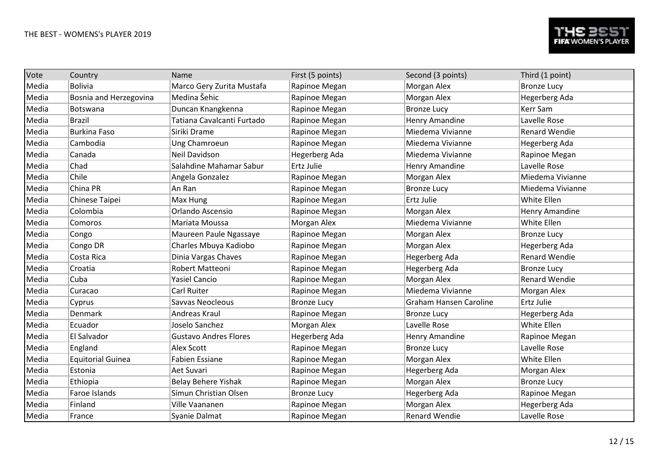| Vote  | Country                  | Name                         | First (5 points)   | Second (3 points)             | Third (1 point)      |
|-------|--------------------------|------------------------------|--------------------|-------------------------------|----------------------|
| Media | <b>Bolivia</b>           | Marco Gery Zurita Mustafa    | Rapinoe Megan      | Morgan Alex                   | <b>Bronze Lucy</b>   |
| Media | Bosnia and Herzegovina   | Medina Šehic                 | Rapinoe Megan      | Morgan Alex                   | Hegerberg Ada        |
| Media | Botswana                 | Duncan Knangkenna            | Rapinoe Megan      | <b>Bronze Lucy</b>            | <b>Kerr Sam</b>      |
| Media | <b>Brazil</b>            | Tatiana Cavalcanti Furtado   | Rapinoe Megan      | Henry Amandine                | Lavelle Rose         |
| Media | <b>Burkina Faso</b>      | Siriki Drame                 | Rapinoe Megan      | Miedema Vivianne              | <b>Renard Wendie</b> |
| Media | Cambodia                 | Ung Chamroeun                | Rapinoe Megan      | Miedema Vivianne              | Hegerberg Ada        |
| Media | Canada                   | Neil Davidson                | Hegerberg Ada      | Miedema Vivianne              | Rapinoe Megan        |
| Media | Chad                     | Salahdine Mahamar Sabur      | Ertz Julie         | Henry Amandine                | Lavelle Rose         |
| Media | Chile                    | Angela Gonzalez              | Rapinoe Megan      | Morgan Alex                   | Miedema Vivianne     |
| Media | China PR                 | An Ran                       | Rapinoe Megan      | <b>Bronze Lucy</b>            | Miedema Vivianne     |
| Media | Chinese Taipei           | Max Hung                     | Rapinoe Megan      | Ertz Julie                    | White Ellen          |
| Media | Colombia                 | Orlando Ascensio             | Rapinoe Megan      | Morgan Alex                   | Henry Amandine       |
| Media | Comoros                  | Mariata Moussa               | Morgan Alex        | Miedema Vivianne              | White Ellen          |
| Media | Congo                    | Maureen Paule Ngassaye       | Rapinoe Megan      | Morgan Alex                   | <b>Bronze Lucy</b>   |
| Media | Congo DR                 | Charles Mbuya Kadiobo        | Rapinoe Megan      | Morgan Alex                   | Hegerberg Ada        |
| Media | Costa Rica               | Dinia Vargas Chaves          | Rapinoe Megan      | Hegerberg Ada                 | <b>Renard Wendie</b> |
| Media | Croatia                  | Robert Matteoni              | Rapinoe Megan      | Hegerberg Ada                 | <b>Bronze Lucy</b>   |
| Media | Cuba                     | <b>Yasiel Cancio</b>         | Rapinoe Megan      | Morgan Alex                   | <b>Renard Wendie</b> |
| Media | Curacao                  | Carl Ruiter                  | Rapinoe Megan      | Miedema Vivianne              | Morgan Alex          |
| Media | Cyprus                   | Savvas Neocleous             | <b>Bronze Lucy</b> | <b>Graham Hansen Caroline</b> | <b>Ertz Julie</b>    |
| Media | Denmark                  | Andreas Kraul                | Rapinoe Megan      | <b>Bronze Lucy</b>            | Hegerberg Ada        |
| Media | Ecuador                  | Joselo Sanchez               | Morgan Alex        | Lavelle Rose                  | White Ellen          |
| Media | El Salvador              | <b>Gustavo Andres Flores</b> | Hegerberg Ada      | Henry Amandine                | Rapinoe Megan        |
| Media | England                  | Alex Scott                   | Rapinoe Megan      | <b>Bronze Lucy</b>            | Lavelle Rose         |
| Media | <b>Equitorial Guinea</b> | <b>Fabien Essiane</b>        | Rapinoe Megan      | Morgan Alex                   | White Ellen          |
| Media | Estonia                  | Aet Suvari                   | Rapinoe Megan      | Hegerberg Ada                 | Morgan Alex          |
| Media | Ethiopia                 | Belay Behere Yishak          | Rapinoe Megan      | Morgan Alex                   | <b>Bronze Lucy</b>   |
| Media | Faroe Islands            | Símun Christian Olsen        | <b>Bronze Lucy</b> | Hegerberg Ada                 | Rapinoe Megan        |
| Media | Finland                  | Ville Vaananen               | Rapinoe Megan      | Morgan Alex                   | Hegerberg Ada        |
| Media | France                   | Syanie Dalmat                | Rapinoe Megan      | <b>Renard Wendie</b>          | Lavelle Rose         |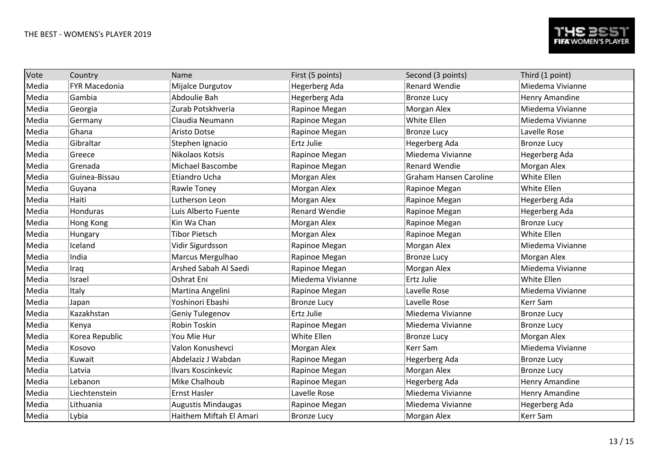| Vote  | Country              | Name                      | First (5 points)     | Second (3 points)             | Third (1 point)    |
|-------|----------------------|---------------------------|----------------------|-------------------------------|--------------------|
| Media | <b>FYR Macedonia</b> | Mijalce Durgutov          | Hegerberg Ada        | <b>Renard Wendie</b>          | Miedema Vivianne   |
| Media | Gambia               | Abdoulie Bah              | Hegerberg Ada        | <b>Bronze Lucy</b>            | Henry Amandine     |
| Media | Georgia              | Zurab Potskhveria         | Rapinoe Megan        | Morgan Alex                   | Miedema Vivianne   |
| Media | Germany              | Claudia Neumann           | Rapinoe Megan        | White Ellen                   | Miedema Vivianne   |
| Media | Ghana                | <b>Aristo Dotse</b>       | Rapinoe Megan        | <b>Bronze Lucy</b>            | Lavelle Rose       |
| Media | Gibraltar            | Stephen Ignacio           | Ertz Julie           | Hegerberg Ada                 | <b>Bronze Lucy</b> |
| Media | Greece               | Nikolaos Kotsis           | Rapinoe Megan        | Miedema Vivianne              | Hegerberg Ada      |
| Media | Grenada              | <b>Michael Bascombe</b>   | Rapinoe Megan        | <b>Renard Wendie</b>          | Morgan Alex        |
| Media | Guinea-Bissau        | Etiandro Ucha             | Morgan Alex          | <b>Graham Hansen Caroline</b> | White Ellen        |
| Media | Guyana               | Rawle Toney               | Morgan Alex          | Rapinoe Megan                 | White Ellen        |
| Media | Haiti                | Lutherson Leon            | Morgan Alex          | Rapinoe Megan                 | Hegerberg Ada      |
| Media | Honduras             | Luis Alberto Fuente       | <b>Renard Wendie</b> | Rapinoe Megan                 | Hegerberg Ada      |
| Media | Hong Kong            | Kin Wa Chan               | Morgan Alex          | Rapinoe Megan                 | <b>Bronze Lucy</b> |
| Media | Hungary              | <b>Tibor Pietsch</b>      | Morgan Alex          | Rapinoe Megan                 | White Ellen        |
| Media | Iceland              | Vidir Sigurdsson          | Rapinoe Megan        | Morgan Alex                   | Miedema Vivianne   |
| Media | India                | Marcus Mergulhao          | Rapinoe Megan        | <b>Bronze Lucy</b>            | Morgan Alex        |
| Media | Iraq                 | Arshed Sabah Al Saedi     | Rapinoe Megan        | Morgan Alex                   | Miedema Vivianne   |
| Media | Israel               | Oshrat Eni                | Miedema Vivianne     | Ertz Julie                    | White Ellen        |
| Media | Italy                | Martina Angelini          | Rapinoe Megan        | Lavelle Rose                  | Miedema Vivianne   |
| Media | Japan                | Yoshinori Ebashi          | <b>Bronze Lucy</b>   | Lavelle Rose                  | Kerr Sam           |
| Media | Kazakhstan           | Geniy Tulegenov           | Ertz Julie           | Miedema Vivianne              | <b>Bronze Lucy</b> |
| Media | Kenya                | Robin Toskin              | Rapinoe Megan        | Miedema Vivianne              | <b>Bronze Lucy</b> |
| Media | Korea Republic       | You Mie Hur               | White Ellen          | <b>Bronze Lucy</b>            | Morgan Alex        |
| Media | Kosovo               | Valon Konushevci          | Morgan Alex          | Kerr Sam                      | Miedema Vivianne   |
| Media | Kuwait               | Abdelaziz J Wabdan        | Rapinoe Megan        | <b>Hegerberg Ada</b>          | <b>Bronze Lucy</b> |
| Media | Latvia               | Ilvars Koscinkevic        | Rapinoe Megan        | Morgan Alex                   | <b>Bronze Lucy</b> |
| Media | Lebanon              | Mike Chalhoub             | Rapinoe Megan        | Hegerberg Ada                 | Henry Amandine     |
| Media | Liechtenstein        | <b>Ernst Hasler</b>       | Lavelle Rose         | Miedema Vivianne              | Henry Amandine     |
| Media | Lithuania            | <b>Augustis Mindaugas</b> | Rapinoe Megan        | Miedema Vivianne              | Hegerberg Ada      |
| Media | Lybia                | Haithem Miftah El Amari   | <b>Bronze Lucy</b>   | Morgan Alex                   | <b>Kerr Sam</b>    |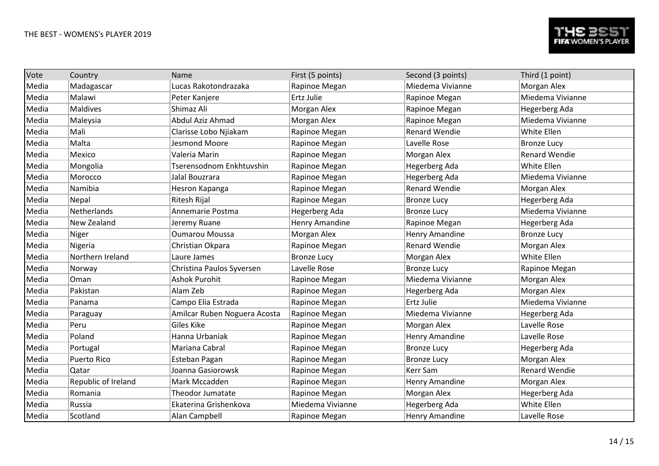| Vote  | Country             | Name                         | First (5 points)   | Second (3 points)     | Third (1 point)      |
|-------|---------------------|------------------------------|--------------------|-----------------------|----------------------|
| Media | Madagascar          | Lucas Rakotondrazaka         | Rapinoe Megan      | Miedema Vivianne      | Morgan Alex          |
| Media | Malawi              | Peter Kanjere                | Ertz Julie         | Rapinoe Megan         | Miedema Vivianne     |
| Media | <b>Maldives</b>     | Shimaz Ali                   | Morgan Alex        | Rapinoe Megan         | Hegerberg Ada        |
| Media | Maleysia            | Abdul Aziz Ahmad             | Morgan Alex        | Rapinoe Megan         | Miedema Vivianne     |
| Media | Mali                | Clarisse Lobo Njiakam        | Rapinoe Megan      | <b>Renard Wendie</b>  | White Ellen          |
| Media | Malta               | Jesmond Moore                | Rapinoe Megan      | Lavelle Rose          | <b>Bronze Lucy</b>   |
| Media | Mexico              | Valeria Marin                | Rapinoe Megan      | Morgan Alex           | <b>Renard Wendie</b> |
| Media | Mongolia            | Tserensodnom Enkhtuvshin     | Rapinoe Megan      | Hegerberg Ada         | White Ellen          |
| Media | Morocco             | Jalal Bouzrara               | Rapinoe Megan      | Hegerberg Ada         | Miedema Vivianne     |
| Media | Namibia             | Hesron Kapanga               | Rapinoe Megan      | <b>Renard Wendie</b>  | Morgan Alex          |
| Media | Nepal               | <b>Ritesh Rijal</b>          | Rapinoe Megan      | <b>Bronze Lucy</b>    | Hegerberg Ada        |
| Media | Netherlands         | Annemarie Postma             | Hegerberg Ada      | <b>Bronze Lucy</b>    | Miedema Vivianne     |
| Media | New Zealand         | Jeremy Ruane                 | Henry Amandine     | Rapinoe Megan         | Hegerberg Ada        |
| Media | Niger               | <b>Oumarou Moussa</b>        | Morgan Alex        | Henry Amandine        | <b>Bronze Lucy</b>   |
| Media | Nigeria             | Christian Okpara             | Rapinoe Megan      | <b>Renard Wendie</b>  | Morgan Alex          |
| Media | Northern Ireland    | Laure James                  | <b>Bronze Lucy</b> | Morgan Alex           | White Ellen          |
| Media | Norway              | Christina Paulos Syversen    | Lavelle Rose       | <b>Bronze Lucy</b>    | Rapinoe Megan        |
| Media | Oman                | <b>Ashok Purohit</b>         | Rapinoe Megan      | Miedema Vivianne      | Morgan Alex          |
| Media | Pakistan            | Alam Zeb                     | Rapinoe Megan      | Hegerberg Ada         | Morgan Alex          |
| Media | Panama              | Campo Elia Estrada           | Rapinoe Megan      | Ertz Julie            | Miedema Vivianne     |
| Media | Paraguay            | Amilcar Ruben Noguera Acosta | Rapinoe Megan      | Miedema Vivianne      | Hegerberg Ada        |
| Media | Peru                | Giles Kike                   | Rapinoe Megan      | Morgan Alex           | Lavelle Rose         |
| Media | Poland              | Hanna Urbaniak               | Rapinoe Megan      | Henry Amandine        | Lavelle Rose         |
| Media | Portugal            | Mariana Cabral               | Rapinoe Megan      | <b>Bronze Lucy</b>    | Hegerberg Ada        |
| Media | <b>Puerto Rico</b>  | Esteban Pagan                | Rapinoe Megan      | <b>Bronze Lucy</b>    | Morgan Alex          |
| Media | Qatar               | Joanna Gasiorowsk            | Rapinoe Megan      | Kerr Sam              | <b>Renard Wendie</b> |
| Media | Republic of Ireland | Mark Mccadden                | Rapinoe Megan      | Henry Amandine        | Morgan Alex          |
| Media | Romania             | <b>Theodor Jumatate</b>      | Rapinoe Megan      | Morgan Alex           | Hegerberg Ada        |
| Media | Russia              | Ekaterina Grishenkova        | Miedema Vivianne   | Hegerberg Ada         | White Ellen          |
| Media | Scotland            | Alan Campbell                | Rapinoe Megan      | <b>Henry Amandine</b> | Lavelle Rose         |